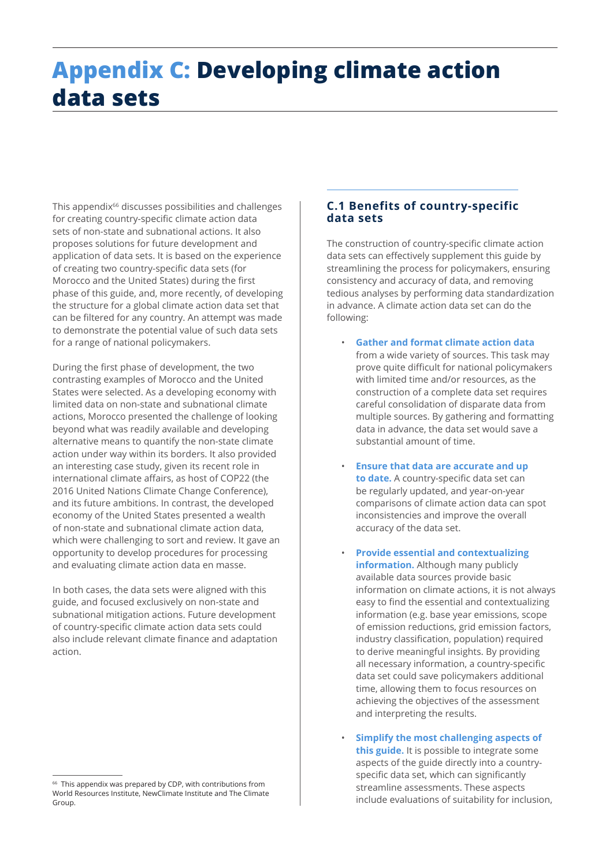# **Appendix C: Developing climate action data sets**

This appendix<sup>66</sup> discusses possibilities and challenges for creating country-specific climate action data sets of non-state and subnational actions. It also proposes solutions for future development and application of data sets. It is based on the experience of creating two country-specific data sets (for Morocco and the United States) during the first phase of this guide, and, more recently, of developing the structure for a global climate action data set that can be filtered for any country. An attempt was made to demonstrate the potential value of such data sets for a range of national policymakers.

During the first phase of development, the two contrasting examples of Morocco and the United States were selected. As a developing economy with limited data on non-state and subnational climate actions, Morocco presented the challenge of looking beyond what was readily available and developing alternative means to quantify the non-state climate action under way within its borders. It also provided an interesting case study, given its recent role in international climate affairs, as host of COP22 (the 2016 United Nations Climate Change Conference), and its future ambitions. In contrast, the developed economy of the United States presented a wealth of non-state and subnational climate action data, which were challenging to sort and review. It gave an opportunity to develop procedures for processing and evaluating climate action data en masse.

In both cases, the data sets were aligned with this guide, and focused exclusively on non-state and subnational mitigation actions. Future development of country-specific climate action data sets could also include relevant climate finance and adaptation action.

# **C.1 Benefits of country-specific data sets**

The construction of country-specific climate action data sets can effectively supplement this guide by streamlining the process for policymakers, ensuring consistency and accuracy of data, and removing tedious analyses by performing data standardization in advance. A climate action data set can do the following:

- **Gather and format climate action data**  from a wide variety of sources. This task may prove quite difficult for national policymakers with limited time and/or resources, as the construction of a complete data set requires careful consolidation of disparate data from multiple sources. By gathering and formatting data in advance, the data set would save a substantial amount of time.
- **Ensure that data are accurate and up to date.** A country-specific data set can be regularly updated, and year-on-year comparisons of climate action data can spot inconsistencies and improve the overall accuracy of the data set.
- **Provide essential and contextualizing information.** Although many publicly available data sources provide basic information on climate actions, it is not always easy to find the essential and contextualizing information (e.g. base year emissions, scope of emission reductions, grid emission factors, industry classification, population) required to derive meaningful insights. By providing all necessary information, a country-specific data set could save policymakers additional time, allowing them to focus resources on achieving the objectives of the assessment and interpreting the results.
- **Simplify the most challenging aspects of this guide.** It is possible to integrate some aspects of the guide directly into a countryspecific data set, which can significantly streamline assessments. These aspects include evaluations of suitability for inclusion,

 $66$  This appendix was prepared by CDP, with contributions from World Resources Institute, NewClimate Institute and The Climate Group.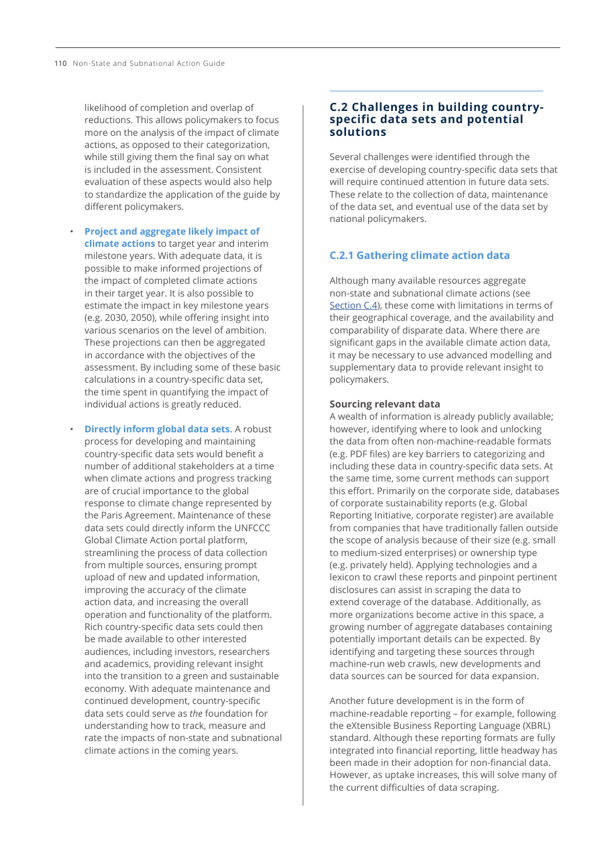likelihood of completion and overlap of reductions. This allows policymakers to focus more on the analysis of the impact of climate actions, as opposed to their categorization, while still giving them the final say on what is included in the assessment. Consistent evaluation of these aspects would also help to standardize the application of the guide by different policymakers.

- **Project and aggregate likely impact of climate actions** to target year and interim milestone years. With adequate data, it is possible to make informed projections of the impact of completed climate actions in their target year. It is also possible to estimate the impact in key milestone years (e.g. 2030, 2050), while offering insight into various scenarios on the level of ambition. These projections can then be aggregated in accordance with the objectives of the assessment. By including some of these basic calculations in a country-specific data set, the time spent in quantifying the impact of individual actions is greatly reduced.
- **Directly inform global data sets.** A robust process for developing and maintaining country-specific data sets would benefit a number of additional stakeholders at a time when climate actions and progress tracking are of crucial importance to the global response to climate change represented by the Paris Agreement. Maintenance of these data sets could directly inform the UNFCCC Global Climate Action portal platform, streamlining the process of data collection from multiple sources, ensuring prompt upload of new and updated information, improving the accuracy of the climate action data, and increasing the overall operation and functionality of the platform. Rich country-specific data sets could then be made available to other interested audiences, including investors, researchers and academics, providing relevant insight into the transition to a green and sustainable economy. With adequate maintenance and continued development, country-specific data sets could serve as *the* foundation for understanding how to track, measure and rate the impacts of non-state and subnational climate actions in the coming years.

# **C.2 Challenges in building countryspecific data sets and potential solutions**

Several challenges were identified through the exercise of developing country-specific data sets that will require continued attention in future data sets. These relate to the collection of data, maintenance of the data set, and eventual use of the data set by national policymakers.

# **C.2.1 Gathering climate action data**

Although many available resources aggregate non-state and subnational climate actions (see [Section C.4\)](#page-10-0), these come with limitations in terms of their geographical coverage, and the availability and comparability of disparate data. Where there are significant gaps in the available climate action data, it may be necessary to use advanced modelling and supplementary data to provide relevant insight to policymakers.

#### **Sourcing relevant data**

A wealth of information is already publicly available; however, identifying where to look and unlocking the data from often non-machine-readable formats (e.g. PDF files) are key barriers to categorizing and including these data in country-specific data sets. At the same time, some current methods can support this effort. Primarily on the corporate side, databases of corporate sustainability reports (e.g. Global Reporting Initiative, corporate register) are available from companies that have traditionally fallen outside the scope of analysis because of their size (e.g. small to medium-sized enterprises) or ownership type (e.g. privately held). Applying technologies and a lexicon to crawl these reports and pinpoint pertinent disclosures can assist in scraping the data to extend coverage of the database. Additionally, as more organizations become active in this space, a growing number of aggregate databases containing potentially important details can be expected. By identifying and targeting these sources through machine-run web crawls, new developments and data sources can be sourced for data expansion.

Another future development is in the form of machine-readable reporting – for example, following the eXtensible Business Reporting Language (XBRL) standard. Although these reporting formats are fully integrated into financial reporting, little headway has been made in their adoption for non-financial data. However, as uptake increases, this will solve many of the current difficulties of data scraping.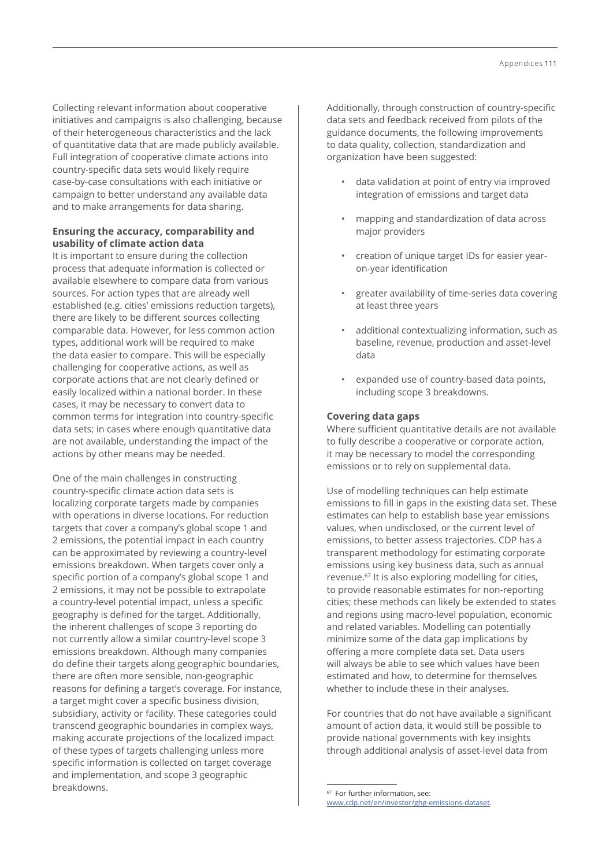Collecting relevant information about cooperative initiatives and campaigns is also challenging, because of their heterogeneous characteristics and the lack of quantitative data that are made publicly available. Full integration of cooperative climate actions into country-specific data sets would likely require case-by-case consultations with each initiative or campaign to better understand any available data and to make arrangements for data sharing.

# **Ensuring the accuracy, comparability and usability of climate action data**

It is important to ensure during the collection process that adequate information is collected or available elsewhere to compare data from various sources. For action types that are already well established (e.g. cities' emissions reduction targets), there are likely to be different sources collecting comparable data. However, for less common action types, additional work will be required to make the data easier to compare. This will be especially challenging for cooperative actions, as well as corporate actions that are not clearly defined or easily localized within a national border. In these cases, it may be necessary to convert data to common terms for integration into country-specific data sets; in cases where enough quantitative data are not available, understanding the impact of the actions by other means may be needed.

One of the main challenges in constructing country-specific climate action data sets is localizing corporate targets made by companies with operations in diverse locations. For reduction targets that cover a company's global scope 1 and 2 emissions, the potential impact in each country can be approximated by reviewing a country-level emissions breakdown. When targets cover only a specific portion of a company's global scope 1 and 2 emissions, it may not be possible to extrapolate a country-level potential impact, unless a specific geography is defined for the target. Additionally, the inherent challenges of scope 3 reporting do not currently allow a similar country-level scope 3 emissions breakdown. Although many companies do define their targets along geographic boundaries, there are often more sensible, non-geographic reasons for defining a target's coverage. For instance, a target might cover a specific business division, subsidiary, activity or facility. These categories could transcend geographic boundaries in complex ways, making accurate projections of the localized impact of these types of targets challenging unless more specific information is collected on target coverage and implementation, and scope 3 geographic breakdowns.

Additionally, through construction of country-specific data sets and feedback received from pilots of the guidance documents, the following improvements to data quality, collection, standardization and organization have been suggested:

- data validation at point of entry via improved integration of emissions and target data
- mapping and standardization of data across major providers
- creation of unique target IDs for easier yearon-year identification
- greater availability of time-series data covering at least three years
- additional contextualizing information, such as baseline, revenue, production and asset-level data
- expanded use of country-based data points, including scope 3 breakdowns.

## **Covering data gaps**

Where sufficient quantitative details are not available to fully describe a cooperative or corporate action, it may be necessary to model the corresponding emissions or to rely on supplemental data.

Use of modelling techniques can help estimate emissions to fill in gaps in the existing data set. These estimates can help to establish base year emissions values, when undisclosed, or the current level of emissions, to better assess trajectories. CDP has a transparent methodology for estimating corporate emissions using key business data, such as annual revenue.67 It is also exploring modelling for cities, to provide reasonable estimates for non-reporting cities; these methods can likely be extended to states and regions using macro-level population, economic and related variables. Modelling can potentially minimize some of the data gap implications by offering a more complete data set. Data users will always be able to see which values have been estimated and how, to determine for themselves whether to include these in their analyses.

For countries that do not have available a significant amount of action data, it would still be possible to provide national governments with key insights through additional analysis of asset-level data from

<sup>67</sup> For further information, see: [www.cdp.net/en/investor/ghg-emissions-dataset](http://www.cdp.net/en/investor/ghg-emissions-dataset).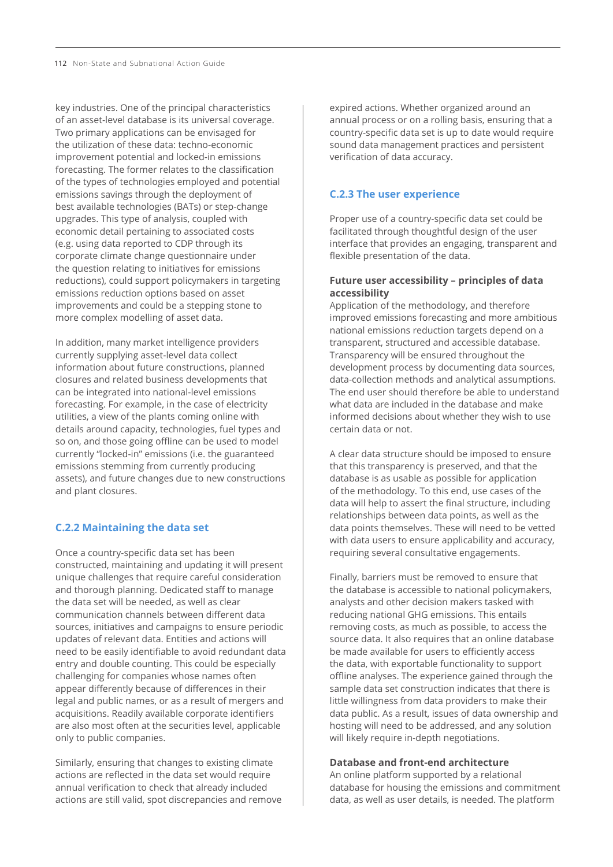key industries. One of the principal characteristics of an asset-level database is its universal coverage. Two primary applications can be envisaged for the utilization of these data: techno-economic improvement potential and locked-in emissions forecasting. The former relates to the classification of the types of technologies employed and potential emissions savings through the deployment of best available technologies (BATs) or step-change upgrades. This type of analysis, coupled with economic detail pertaining to associated costs (e.g. using data reported to CDP through its corporate climate change questionnaire under the question relating to initiatives for emissions reductions), could support policymakers in targeting emissions reduction options based on asset improvements and could be a stepping stone to more complex modelling of asset data.

In addition, many market intelligence providers currently supplying asset-level data collect information about future constructions, planned closures and related business developments that can be integrated into national-level emissions forecasting. For example, in the case of electricity utilities, a view of the plants coming online with details around capacity, technologies, fuel types and so on, and those going offline can be used to model currently "locked-in" emissions (i.e. the guaranteed emissions stemming from currently producing assets), and future changes due to new constructions and plant closures.

# **C.2.2 Maintaining the data set**

Once a country-specific data set has been constructed, maintaining and updating it will present unique challenges that require careful consideration and thorough planning. Dedicated staff to manage the data set will be needed, as well as clear communication channels between different data sources, initiatives and campaigns to ensure periodic updates of relevant data. Entities and actions will need to be easily identifiable to avoid redundant data entry and double counting. This could be especially challenging for companies whose names often appear differently because of differences in their legal and public names, or as a result of mergers and acquisitions. Readily available corporate identifiers are also most often at the securities level, applicable only to public companies.

Similarly, ensuring that changes to existing climate actions are reflected in the data set would require annual verification to check that already included actions are still valid, spot discrepancies and remove expired actions. Whether organized around an annual process or on a rolling basis, ensuring that a country-specific data set is up to date would require sound data management practices and persistent verification of data accuracy.

## **C.2.3 The user experience**

Proper use of a country-specific data set could be facilitated through thoughtful design of the user interface that provides an engaging, transparent and flexible presentation of the data.

## **Future user accessibility – principles of data accessibility**

Application of the methodology, and therefore improved emissions forecasting and more ambitious national emissions reduction targets depend on a transparent, structured and accessible database. Transparency will be ensured throughout the development process by documenting data sources, data-collection methods and analytical assumptions. The end user should therefore be able to understand what data are included in the database and make informed decisions about whether they wish to use certain data or not.

A clear data structure should be imposed to ensure that this transparency is preserved, and that the database is as usable as possible for application of the methodology. To this end, use cases of the data will help to assert the final structure, including relationships between data points, as well as the data points themselves. These will need to be vetted with data users to ensure applicability and accuracy, requiring several consultative engagements.

Finally, barriers must be removed to ensure that the database is accessible to national policymakers, analysts and other decision makers tasked with reducing national GHG emissions. This entails removing costs, as much as possible, to access the source data. It also requires that an online database be made available for users to efficiently access the data, with exportable functionality to support offline analyses. The experience gained through the sample data set construction indicates that there is little willingness from data providers to make their data public. As a result, issues of data ownership and hosting will need to be addressed, and any solution will likely require in-depth negotiations.

#### **Database and front-end architecture**

An online platform supported by a relational database for housing the emissions and commitment data, as well as user details, is needed. The platform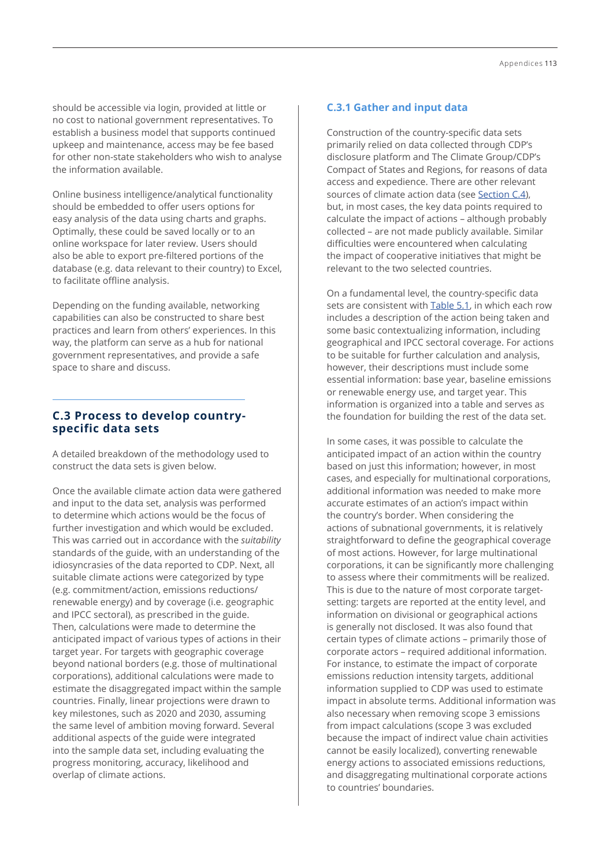should be accessible via login, provided at little or no cost to national government representatives. To establish a business model that supports continued upkeep and maintenance, access may be fee based for other non-state stakeholders who wish to analyse the information available.

Online business intelligence/analytical functionality should be embedded to offer users options for easy analysis of the data using charts and graphs. Optimally, these could be saved locally or to an online workspace for later review. Users should also be able to export pre-filtered portions of the database (e.g. data relevant to their country) to Excel, to facilitate offline analysis.

Depending on the funding available, networking capabilities can also be constructed to share best practices and learn from others' experiences. In this way, the platform can serve as a hub for national government representatives, and provide a safe space to share and discuss.

## **C.3 Process to develop countryspecific data sets**

A detailed breakdown of the methodology used to construct the data sets is given below.

Once the available climate action data were gathered and input to the data set, analysis was performed to determine which actions would be the focus of further investigation and which would be excluded. This was carried out in accordance with the *suitability* standards of the guide, with an understanding of the idiosyncrasies of the data reported to CDP. Next, all suitable climate actions were categorized by type (e.g. commitment/action, emissions reductions/ renewable energy) and by coverage (i.e. geographic and IPCC sectoral), as prescribed in the guide. Then, calculations were made to determine the anticipated impact of various types of actions in their target year. For targets with geographic coverage beyond national borders (e.g. those of multinational corporations), additional calculations were made to estimate the disaggregated impact within the sample countries. Finally, linear projections were drawn to key milestones, such as 2020 and 2030, assuming the same level of ambition moving forward. Several additional aspects of the guide were integrated into the sample data set, including evaluating the progress monitoring, accuracy, likelihood and overlap of climate actions.

## **C.3.1 Gather and input data**

Construction of the country-specific data sets primarily relied on data collected through CDP's disclosure platform and The Climate Group/CDP's Compact of States and Regions, for reasons of data access and expedience. There are other relevant sources of climate action data (see [Section C.4](#page-10-0)), but, in most cases, the key data points required to calculate the impact of actions – although probably collected – are not made publicly available. Similar difficulties were encountered when calculating the impact of cooperative initiatives that might be relevant to the two selected countries.

On a fundamental level, the country-specific data sets are consistent with Table 5.1, in which each row includes a description of the action being taken and some basic contextualizing information, including geographical and IPCC sectoral coverage. For actions to be suitable for further calculation and analysis, however, their descriptions must include some essential information: base year, baseline emissions or renewable energy use, and target year. This information is organized into a table and serves as the foundation for building the rest of the data set.

In some cases, it was possible to calculate the anticipated impact of an action within the country based on just this information; however, in most cases, and especially for multinational corporations, additional information was needed to make more accurate estimates of an action's impact within the country's border. When considering the actions of subnational governments, it is relatively straightforward to define the geographical coverage of most actions. However, for large multinational corporations, it can be significantly more challenging to assess where their commitments will be realized. This is due to the nature of most corporate targetsetting: targets are reported at the entity level, and information on divisional or geographical actions is generally not disclosed. It was also found that certain types of climate actions – primarily those of corporate actors – required additional information. For instance, to estimate the impact of corporate emissions reduction intensity targets, additional information supplied to CDP was used to estimate impact in absolute terms. Additional information was also necessary when removing scope 3 emissions from impact calculations (scope 3 was excluded because the impact of indirect value chain activities cannot be easily localized), converting renewable energy actions to associated emissions reductions, and disaggregating multinational corporate actions to countries' boundaries.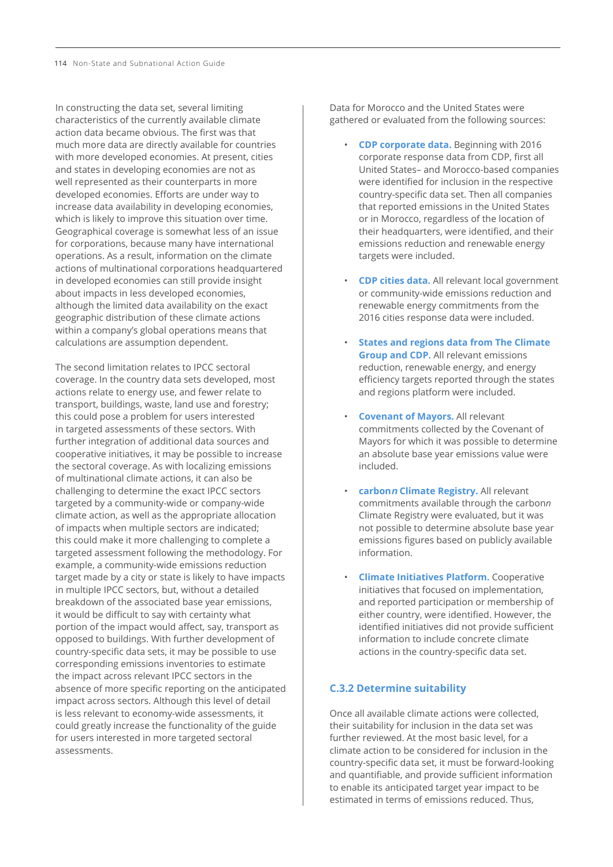In constructing the data set, several limiting characteristics of the currently available climate action data became obvious. The first was that much more data are directly available for countries with more developed economies. At present, cities and states in developing economies are not as well represented as their counterparts in more developed economies. Efforts are under way to increase data availability in developing economies, which is likely to improve this situation over time. Geographical coverage is somewhat less of an issue for corporations, because many have international operations. As a result, information on the climate actions of multinational corporations headquartered in developed economies can still provide insight about impacts in less developed economies, although the limited data availability on the exact geographic distribution of these climate actions within a company's global operations means that calculations are assumption dependent.

The second limitation relates to IPCC sectoral coverage. In the country data sets developed, most actions relate to energy use, and fewer relate to transport, buildings, waste, land use and forestry; this could pose a problem for users interested in targeted assessments of these sectors. With further integration of additional data sources and cooperative initiatives, it may be possible to increase the sectoral coverage. As with localizing emissions of multinational climate actions, it can also be challenging to determine the exact IPCC sectors targeted by a community-wide or company-wide climate action, as well as the appropriate allocation of impacts when multiple sectors are indicated; this could make it more challenging to complete a targeted assessment following the methodology. For example, a community-wide emissions reduction target made by a city or state is likely to have impacts in multiple IPCC sectors, but, without a detailed breakdown of the associated base year emissions, it would be difficult to say with certainty what portion of the impact would affect, say, transport as opposed to buildings. With further development of country-specific data sets, it may be possible to use corresponding emissions inventories to estimate the impact across relevant IPCC sectors in the absence of more specific reporting on the anticipated impact across sectors. Although this level of detail is less relevant to economy-wide assessments, it could greatly increase the functionality of the guide for users interested in more targeted sectoral assessments.

Data for Morocco and the United States were gathered or evaluated from the following sources:

- **CDP corporate data.** Beginning with 2016 corporate response data from CDP, first all United States– and Morocco-based companies were identified for inclusion in the respective country-specific data set. Then all companies that reported emissions in the United States or in Morocco, regardless of the location of their headquarters, were identified, and their emissions reduction and renewable energy targets were included.
- **CDP cities data.** All relevant local government or community-wide emissions reduction and renewable energy commitments from the 2016 cities response data were included.
- **States and regions data from The Climate Group and CDP.** All relevant emissions reduction, renewable energy, and energy efficiency targets reported through the states and regions platform were included.
- **Covenant of Mayors.** All relevant commitments collected by the Covenant of Mayors for which it was possible to determine an absolute base year emissions value were included.
- **carbonn Climate Registry.** All relevant commitments available through the carbon*n* Climate Registry were evaluated, but it was not possible to determine absolute base year emissions figures based on publicly available information.
- **Climate Initiatives Platform.** Cooperative initiatives that focused on implementation, and reported participation or membership of either country, were identified. However, the identified initiatives did not provide sufficient information to include concrete climate actions in the country-specific data set.

## **C.3.2 Determine suitability**

Once all available climate actions were collected, their suitability for inclusion in the data set was further reviewed. At the most basic level, for a climate action to be considered for inclusion in the country-specific data set, it must be forward-looking and quantifiable, and provide sufficient information to enable its anticipated target year impact to be estimated in terms of emissions reduced. Thus,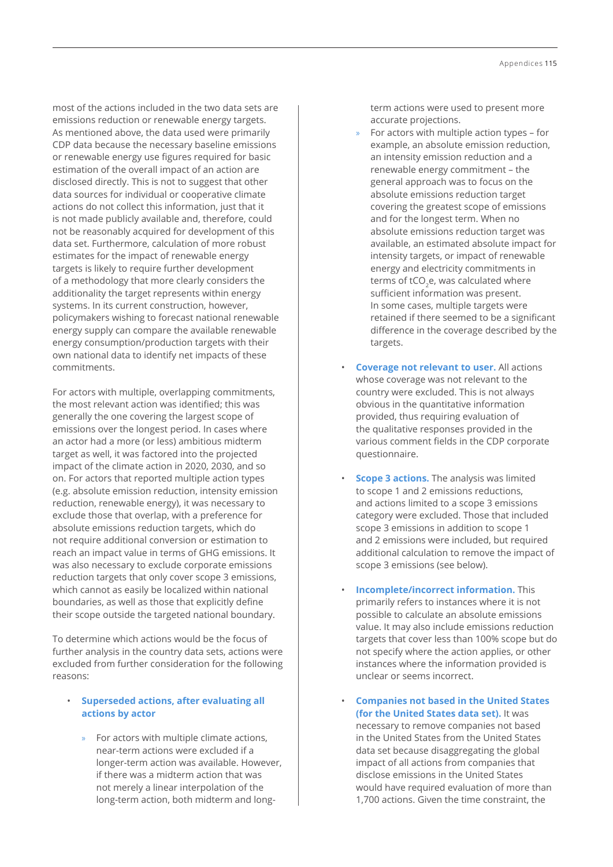most of the actions included in the two data sets are emissions reduction or renewable energy targets. As mentioned above, the data used were primarily CDP data because the necessary baseline emissions or renewable energy use figures required for basic estimation of the overall impact of an action are disclosed directly. This is not to suggest that other data sources for individual or cooperative climate actions do not collect this information, just that it is not made publicly available and, therefore, could not be reasonably acquired for development of this data set. Furthermore, calculation of more robust estimates for the impact of renewable energy targets is likely to require further development of a methodology that more clearly considers the additionality the target represents within energy systems. In its current construction, however, policymakers wishing to forecast national renewable energy supply can compare the available renewable energy consumption/production targets with their own national data to identify net impacts of these commitments.

For actors with multiple, overlapping commitments, the most relevant action was identified; this was generally the one covering the largest scope of emissions over the longest period. In cases where an actor had a more (or less) ambitious midterm target as well, it was factored into the projected impact of the climate action in 2020, 2030, and so on. For actors that reported multiple action types (e.g. absolute emission reduction, intensity emission reduction, renewable energy), it was necessary to exclude those that overlap, with a preference for absolute emissions reduction targets, which do not require additional conversion or estimation to reach an impact value in terms of GHG emissions. It was also necessary to exclude corporate emissions reduction targets that only cover scope 3 emissions, which cannot as easily be localized within national boundaries, as well as those that explicitly define their scope outside the targeted national boundary.

To determine which actions would be the focus of further analysis in the country data sets, actions were excluded from further consideration for the following reasons:

## • **Superseded actions, after evaluating all actions by actor**

» For actors with multiple climate actions, near-term actions were excluded if a longer-term action was available. However, if there was a midterm action that was not merely a linear interpolation of the long-term action, both midterm and longterm actions were used to present more accurate projections.

- » For actors with multiple action types for example, an absolute emission reduction, an intensity emission reduction and a renewable energy commitment – the general approach was to focus on the absolute emissions reduction target covering the greatest scope of emissions and for the longest term. When no absolute emissions reduction target was available, an estimated absolute impact for intensity targets, or impact of renewable energy and electricity commitments in terms of tCO<sub>2</sub>e, was calculated where sufficient information was present. In some cases, multiple targets were retained if there seemed to be a significant difference in the coverage described by the targets.
- **Coverage not relevant to user.** All actions whose coverage was not relevant to the country were excluded. This is not always obvious in the quantitative information provided, thus requiring evaluation of the qualitative responses provided in the various comment fields in the CDP corporate questionnaire.
- **Scope 3 actions.** The analysis was limited to scope 1 and 2 emissions reductions, and actions limited to a scope 3 emissions category were excluded. Those that included scope 3 emissions in addition to scope 1 and 2 emissions were included, but required additional calculation to remove the impact of scope 3 emissions (see below).
- **Incomplete/incorrect information.** This primarily refers to instances where it is not possible to calculate an absolute emissions value. It may also include emissions reduction targets that cover less than 100% scope but do not specify where the action applies, or other instances where the information provided is unclear or seems incorrect.
- **Companies not based in the United States (for the United States data set).** It was necessary to remove companies not based in the United States from the United States data set because disaggregating the global impact of all actions from companies that disclose emissions in the United States would have required evaluation of more than 1,700 actions. Given the time constraint, the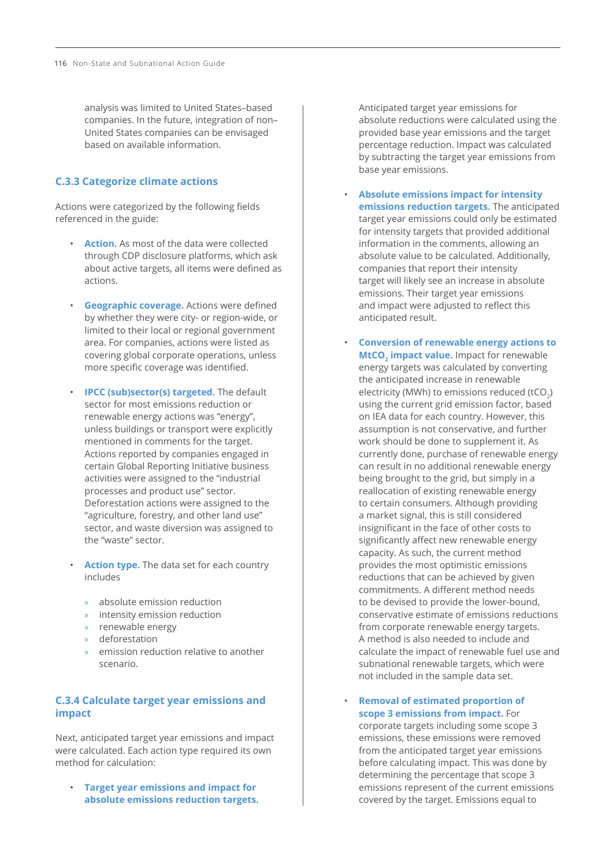analysis was limited to United States–based companies. In the future, integration of non– United States companies can be envisaged based on available information.

#### **C.3.3 Categorize climate actions**

Actions were categorized by the following fields referenced in the guide:

- **Action.** As most of the data were collected through CDP disclosure platforms, which ask about active targets, all items were defined as actions.
- **Geographic coverage.** Actions were defined by whether they were city- or region-wide, or limited to their local or regional government area. For companies, actions were listed as covering global corporate operations, unless more specific coverage was identified.
- **IPCC (sub)sector(s) targeted.** The default sector for most emissions reduction or renewable energy actions was "energy", unless buildings or transport were explicitly mentioned in comments for the target. Actions reported by companies engaged in certain Global Reporting Initiative business activities were assigned to the "industrial processes and product use" sector. Deforestation actions were assigned to the "agriculture, forestry, and other land use" sector, and waste diversion was assigned to the "waste" sector.
- **Action type.** The data set for each country includes
	- » absolute emission reduction
	- » intensity emission reduction
	- » renewable energy
	- » deforestation
	- » emission reduction relative to another scenario.

## **C.3.4 Calculate target year emissions and impact**

Next, anticipated target year emissions and impact were calculated. Each action type required its own method for calculation:

• **Target year emissions and impact for absolute emissions reduction targets.** 

Anticipated target year emissions for absolute reductions were calculated using the provided base year emissions and the target percentage reduction. Impact was calculated by subtracting the target year emissions from base year emissions.

- **Absolute emissions impact for intensity emissions reduction targets.** The anticipated target year emissions could only be estimated for intensity targets that provided additional information in the comments, allowing an absolute value to be calculated. Additionally, companies that report their intensity target will likely see an increase in absolute emissions. Their target year emissions and impact were adjusted to reflect this anticipated result.
- **Conversion of renewable energy actions to MtCO<sub>2</sub>** impact value. Impact for renewable energy targets was calculated by converting the anticipated increase in renewable electricity (MWh) to emissions reduced (tCO<sub>2</sub>) using the current grid emission factor, based on IEA data for each country. However, this assumption is not conservative, and further work should be done to supplement it. As currently done, purchase of renewable energy can result in no additional renewable energy being brought to the grid, but simply in a reallocation of existing renewable energy to certain consumers. Although providing a market signal, this is still considered insignificant in the face of other costs to significantly affect new renewable energy capacity. As such, the current method provides the most optimistic emissions reductions that can be achieved by given commitments. A different method needs to be devised to provide the lower-bound, conservative estimate of emissions reductions from corporate renewable energy targets. A method is also needed to include and calculate the impact of renewable fuel use and subnational renewable targets, which were not included in the sample data set.
- **Removal of estimated proportion of scope 3 emissions from impact.** For corporate targets including some scope 3 emissions, these emissions were removed from the anticipated target year emissions before calculating impact. This was done by determining the percentage that scope 3 emissions represent of the current emissions covered by the target. Emissions equal to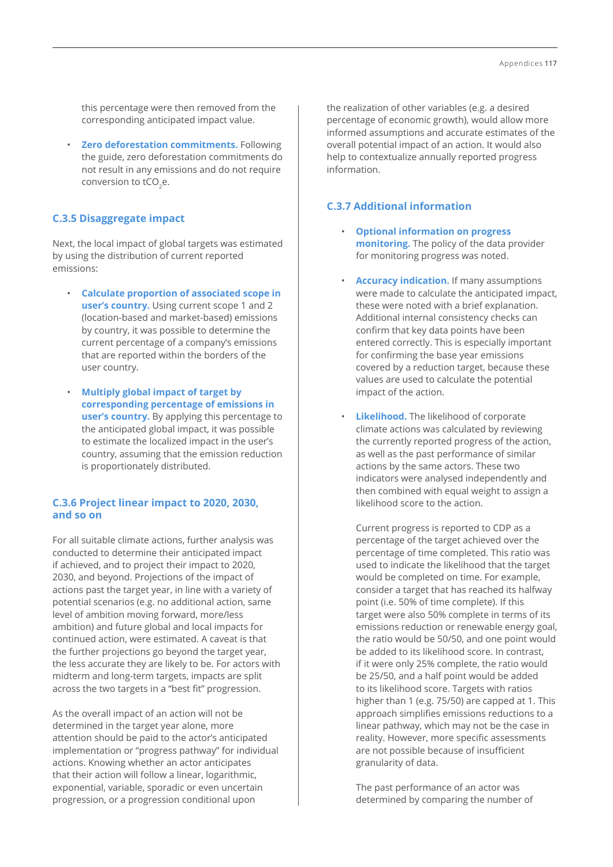this percentage were then removed from the corresponding anticipated impact value.

• **Zero deforestation commitments.** Following the guide, zero deforestation commitments do not result in any emissions and do not require conversion to tCO<sub>2</sub>e.

## **C.3.5 Disaggregate impact**

Next, the local impact of global targets was estimated by using the distribution of current reported emissions:

- **Calculate proportion of associated scope in user's country.** Using current scope 1 and 2 (location-based and market-based) emissions by country, it was possible to determine the current percentage of a company's emissions that are reported within the borders of the user country.
- **Multiply global impact of target by corresponding percentage of emissions in user's country.** By applying this percentage to the anticipated global impact, it was possible to estimate the localized impact in the user's country, assuming that the emission reduction is proportionately distributed.

# **C.3.6 Project linear impact to 2020, 2030, and so on**

For all suitable climate actions, further analysis was conducted to determine their anticipated impact if achieved, and to project their impact to 2020, 2030, and beyond. Projections of the impact of actions past the target year, in line with a variety of potential scenarios (e.g. no additional action, same level of ambition moving forward, more/less ambition) and future global and local impacts for continued action, were estimated. A caveat is that the further projections go beyond the target year, the less accurate they are likely to be. For actors with midterm and long-term targets, impacts are split across the two targets in a "best fit" progression.

As the overall impact of an action will not be determined in the target year alone, more attention should be paid to the actor's anticipated implementation or "progress pathway" for individual actions. Knowing whether an actor anticipates that their action will follow a linear, logarithmic, exponential, variable, sporadic or even uncertain progression, or a progression conditional upon

the realization of other variables (e.g. a desired percentage of economic growth), would allow more informed assumptions and accurate estimates of the overall potential impact of an action. It would also help to contextualize annually reported progress information.

# **C.3.7 Additional information**

- **Optional information on progress monitoring.** The policy of the data provider for monitoring progress was noted.
- **Accuracy indication.** If many assumptions were made to calculate the anticipated impact, these were noted with a brief explanation. Additional internal consistency checks can confirm that key data points have been entered correctly. This is especially important for confirming the base year emissions covered by a reduction target, because these values are used to calculate the potential impact of the action.
- **Likelihood.** The likelihood of corporate climate actions was calculated by reviewing the currently reported progress of the action, as well as the past performance of similar actions by the same actors. These two indicators were analysed independently and then combined with equal weight to assign a likelihood score to the action.

Current progress is reported to CDP as a percentage of the target achieved over the percentage of time completed. This ratio was used to indicate the likelihood that the target would be completed on time. For example, consider a target that has reached its halfway point (i.e. 50% of time complete). If this target were also 50% complete in terms of its emissions reduction or renewable energy goal, the ratio would be 50/50, and one point would be added to its likelihood score. In contrast, if it were only 25% complete, the ratio would be 25/50, and a half point would be added to its likelihood score. Targets with ratios higher than 1 (e.g. 75/50) are capped at 1. This approach simplifies emissions reductions to a linear pathway, which may not be the case in reality. However, more specific assessments are not possible because of insufficient granularity of data.

The past performance of an actor was determined by comparing the number of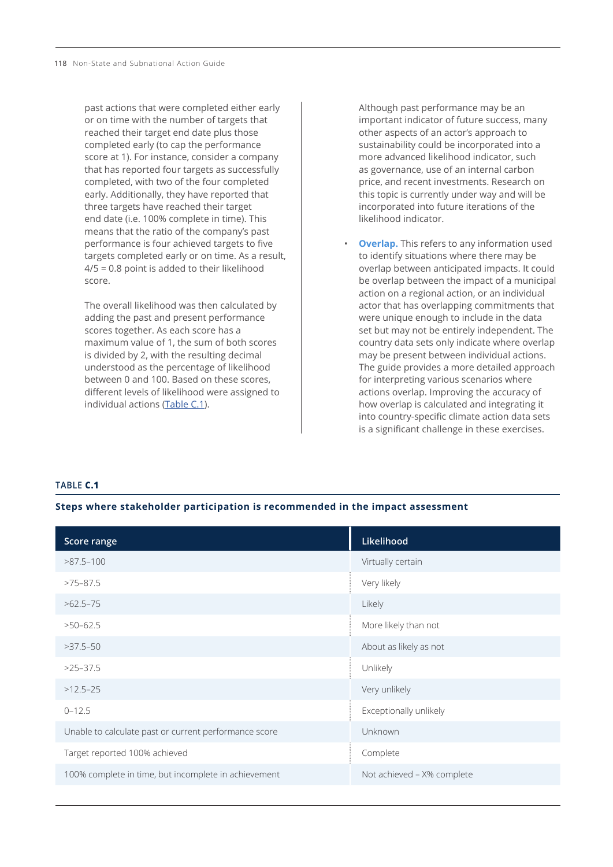past actions that were completed either early or on time with the number of targets that reached their target end date plus those completed early (to cap the performance score at 1). For instance, consider a company that has reported four targets as successfully completed, with two of the four completed early. Additionally, they have reported that three targets have reached their target end date (i.e. 100% complete in time). This means that the ratio of the company's past performance is four achieved targets to five targets completed early or on time. As a result, 4/5 = 0.8 point is added to their likelihood score.

The overall likelihood was then calculated by adding the past and present performance scores together. As each score has a maximum value of 1, the sum of both scores is divided by 2, with the resulting decimal understood as the percentage of likelihood between 0 and 100. Based on these scores, different levels of likelihood were assigned to individual actions (Table C.1).

Although past performance may be an important indicator of future success, many other aspects of an actor's approach to sustainability could be incorporated into a more advanced likelihood indicator, such as governance, use of an internal carbon price, and recent investments. Research on this topic is currently under way and will be incorporated into future iterations of the likelihood indicator.

**Overlap.** This refers to any information used to identify situations where there may be overlap between anticipated impacts. It could be overlap between the impact of a municipal action on a regional action, or an individual actor that has overlapping commitments that were unique enough to include in the data set but may not be entirely independent. The country data sets only indicate where overlap may be present between individual actions. The guide provides a more detailed approach for interpreting various scenarios where actions overlap. Improving the accuracy of how overlap is calculated and integrating it into country-specific climate action data sets is a significant challenge in these exercises.

#### **TABLE C.1**

#### **Steps where stakeholder participation is recommended in the impact assessment**

| Score range                                           | Likelihood                 |
|-------------------------------------------------------|----------------------------|
| $>87.5 - 100$                                         | Virtually certain          |
| $>75-87.5$                                            | Very likely                |
| $>62.5-75$                                            | Likely                     |
| $>50-62.5$                                            | More likely than not       |
| $>37.5-50$                                            | About as likely as not     |
| $>25-37.5$                                            | Unlikely                   |
| $>12.5-25$                                            | Very unlikely              |
| $0 - 12.5$                                            | Exceptionally unlikely     |
| Unable to calculate past or current performance score | <b>Unknown</b>             |
| Target reported 100% achieved                         | Complete                   |
| 100% complete in time, but incomplete in achievement  | Not achieved - X% complete |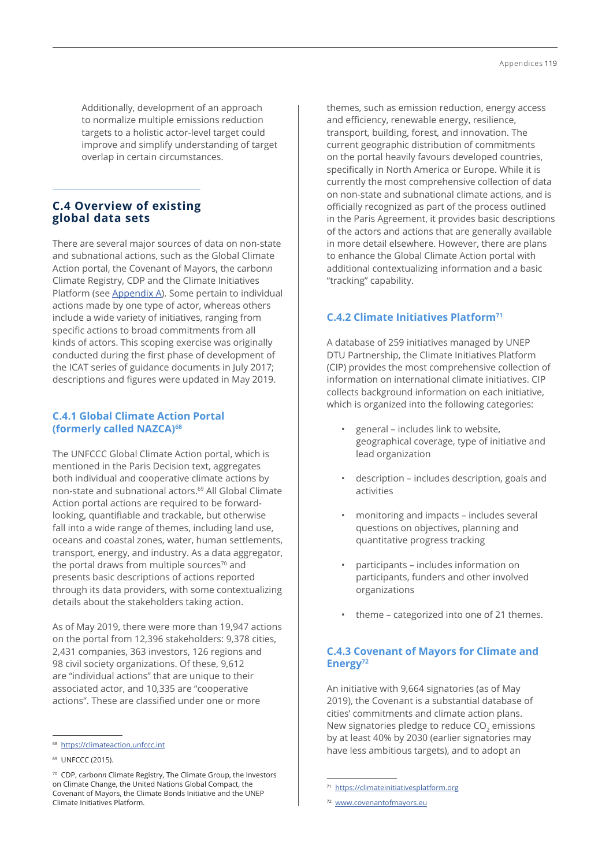<span id="page-10-0"></span>Additionally, development of an approach to normalize multiple emissions reduction targets to a holistic actor-level target could improve and simplify understanding of target overlap in certain circumstances.

# **C.4 Overview of existing global data sets**

There are several major sources of data on non-state and subnational actions, such as the Global Climate Action portal, the Covenant of Mayors, the carbon*n* Climate Registry, CDP and the Climate Initiatives Platform (see Appendix A). Some pertain to individual actions made by one type of actor, whereas others include a wide variety of initiatives, ranging from specific actions to broad commitments from all kinds of actors. This scoping exercise was originally conducted during the first phase of development of the ICAT series of guidance documents in July 2017; descriptions and figures were updated in May 2019.

## **C.4.1 Global Climate Action Portal (formerly called NAZCA)68**

The UNFCCC Global Climate Action portal, which is mentioned in the Paris Decision text, aggregates both individual and cooperative climate actions by non-state and subnational actors.69 All Global Climate Action portal actions are required to be forwardlooking, quantifiable and trackable, but otherwise fall into a wide range of themes, including land use, oceans and coastal zones, water, human settlements, transport, energy, and industry. As a data aggregator, the portal draws from multiple sources<sup>70</sup> and presents basic descriptions of actions reported through its data providers, with some contextualizing details about the stakeholders taking action.

As of May 2019, there were more than 19,947 actions on the portal from 12,396 stakeholders: 9,378 cities, 2,431 companies, 363 investors, 126 regions and 98 civil society organizations. Of these, 9,612 are "individual actions" that are unique to their associated actor, and 10,335 are "cooperative actions". These are classified under one or more

themes, such as emission reduction, energy access and efficiency, renewable energy, resilience, transport, building, forest, and innovation. The current geographic distribution of commitments on the portal heavily favours developed countries, specifically in North America or Europe. While it is currently the most comprehensive collection of data on non-state and subnational climate actions, and is officially recognized as part of the process outlined in the Paris Agreement, it provides basic descriptions of the actors and actions that are generally available in more detail elsewhere. However, there are plans to enhance the Global Climate Action portal with additional contextualizing information and a basic "tracking" capability.

# **C.4.2 Climate Initiatives Platform71**

A database of 259 initiatives managed by UNEP DTU Partnership, the Climate Initiatives Platform (CIP) provides the most comprehensive collection of information on international climate initiatives. CIP collects background information on each initiative, which is organized into the following categories:

- general includes link to website, geographical coverage, type of initiative and lead organization
- description includes description, goals and activities
- monitoring and impacts includes several questions on objectives, planning and quantitative progress tracking
- participants includes information on participants, funders and other involved organizations
- theme categorized into one of 21 themes.

# **C.4.3 Covenant of Mayors for Climate and Energy72**

An initiative with 9,664 signatories (as of May 2019), the Covenant is a substantial database of cities' commitments and climate action plans. New signatories pledge to reduce CO<sub>2</sub> emissions by at least 40% by 2030 (earlier signatories may have less ambitious targets), and to adopt an

<sup>68</sup> <https://climateaction.unfccc.int>

<sup>&</sup>lt;sup>69</sup> UNFCCC (2015).

<sup>70</sup> CDP, carbon*n* Climate Registry, The Climate Group, the Investors on Climate Change, the United Nations Global Compact, the Covenant of Mayors, the Climate Bonds Initiative and the UNEP Climate Initiatives Platform.

<sup>71</sup> <https://climateinitiativesplatform.org>

<sup>72</sup> [www.covenantofmayors.eu](http://www.covenantofmayors.eu)